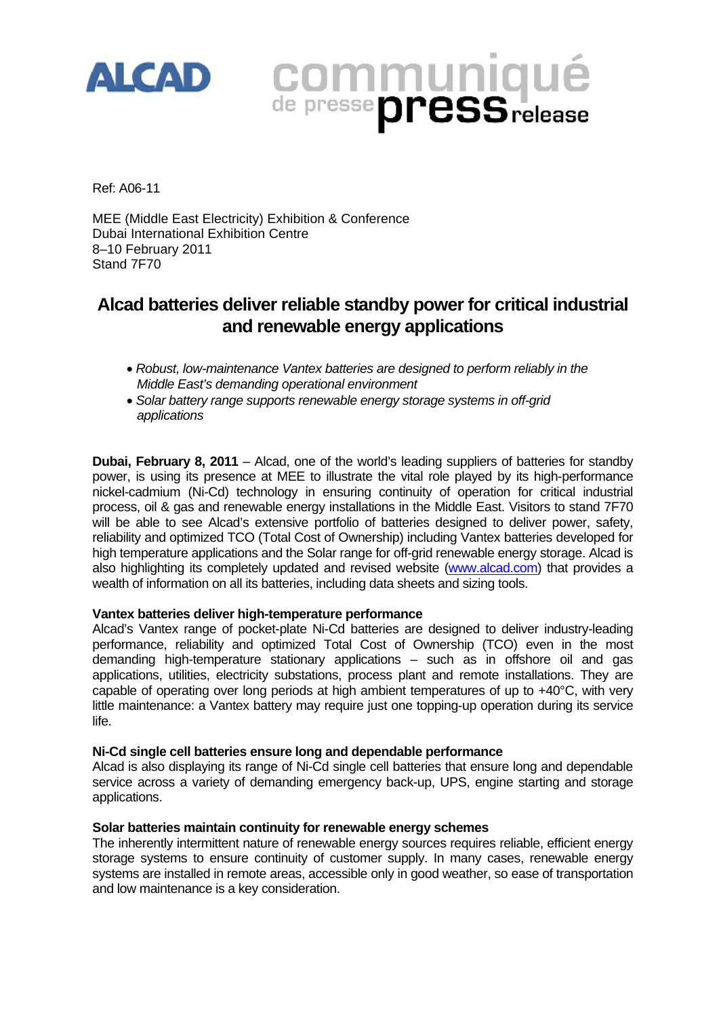

# **COMMUNIQUÉ**

Ref: A06-11

MEE (Middle East Electricity) Exhibition & Conference Dubai International Exhibition Centre 8–10 February 2011 Stand 7F70

## **Alcad batteries deliver reliable standby power for critical industrial and renewable energy applications**

- *Robust, low-maintenance Vantex batteries are designed to perform reliably in the Middle East's demanding operational environment*
- *Solar battery range supports renewable energy storage systems in off-grid applications*

**Dubai, February 8, 2011** – Alcad, one of the world's leading suppliers of batteries for standby power, is using its presence at MEE to illustrate the vital role played by its high-performance nickel-cadmium (Ni-Cd) technology in ensuring continuity of operation for critical industrial process, oil & gas and renewable energy installations in the Middle East. Visitors to stand 7F70 will be able to see Alcad's extensive portfolio of batteries designed to deliver power, safety, reliability and optimized TCO (Total Cost of Ownership) including Vantex batteries developed for high temperature applications and the Solar range for off-grid renewable energy storage. Alcad is also highlighting its completely updated and revised website (www.alcad.com) that provides a wealth of information on all its batteries, including data sheets and sizing tools.

### **Vantex batteries deliver high-temperature performance**

Alcad's Vantex range of pocket-plate Ni-Cd batteries are designed to deliver industry-leading performance, reliability and optimized Total Cost of Ownership (TCO) even in the most demanding high-temperature stationary applications – such as in offshore oil and gas applications, utilities, electricity substations, process plant and remote installations. They are capable of operating over long periods at high ambient temperatures of up to +40°C, with very little maintenance: a Vantex battery may require just one topping-up operation during its service life.

### **Ni-Cd single cell batteries ensure long and dependable performance**

Alcad is also displaying its range of Ni-Cd single cell batteries that ensure long and dependable service across a variety of demanding emergency back-up, UPS, engine starting and storage applications.

### **Solar batteries maintain continuity for renewable energy schemes**

The inherently intermittent nature of renewable energy sources requires reliable, efficient energy storage systems to ensure continuity of customer supply. In many cases, renewable energy systems are installed in remote areas, accessible only in good weather, so ease of transportation and low maintenance is a key consideration.